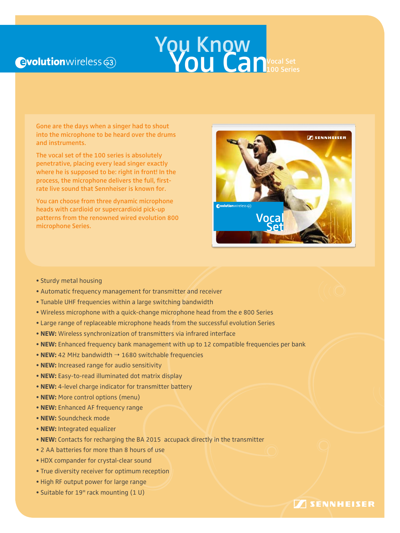## **Qvolution** wireless  $\widehat{e3}$

# **You Know** You Canvocal Set

Gone are the days when a singer had to shout into the microphone to be heard over the drums and instruments.

The vocal set of the 100 series is absolutely penetrative, placing every lead singer exactly where he is supposed to be: right in front! In the process, the microphone delivers the full, firstrate live sound that Sennheiser is known for.

You can choose from three dynamic microphone heads with cardioid or supercardioid pick-up patterns from the renowned wired evolution 800 microphone Series.



Designed and engineered in Germany Sennheiser electronic GmbH & Co. KG Am Labor 1, 30900 Wedemark, Germany

**SENNHEISER** 

www.sennheiser.com For more accessories, please visit www.sennheiser.com

- Sturdy metal housing
- Automatic frequency management for transmitter and receiver
- Tunable UHF frequencies within a large switching bandwidth
- Wireless microphone with a quick-change microphone head from the e 800 Series
- Large range of replaceable microphone heads from the successful evolution Series
- **NEW:** Wireless synchronization of transmitters via infrared interface
- **NEW:** Enhanced frequency bank management with up to 12 compatible frequencies per bank
- **NEW:** 42 MHz bandwidth  $\rightarrow$  1680 switchable frequencies
- **NEW:** Increased range for audio sensitivity
- **NEW:** Easy-to-read illuminated dot matrix display
- **NEW:** 4-level charge indicator for transmitter battery
- **NEW:** More control options (menu)
- **NEW:** Enhanced AF frequency range
- **NEW:** Soundcheck mode
- **NEW:** Integrated equalizer
- **NEW:** Contacts for recharging the BA 2015 accupack directly in the transmitter
- 2 AA batteries for more than 8 hours of use
- HDX compander for crystal-clear sound
- True diversity receiver for optimum reception
- High RF output power for large range
- Suitable for 19" rack mounting (1 U)